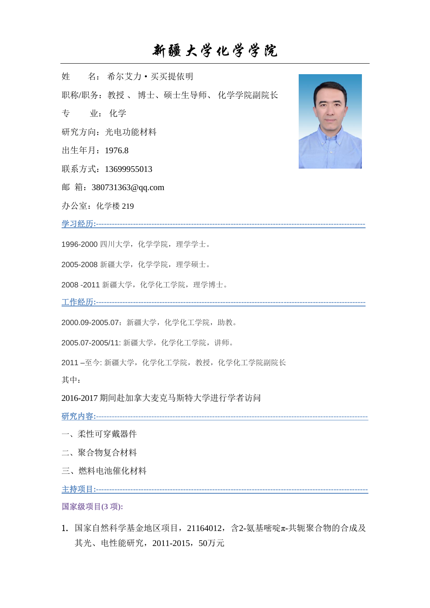## 新疆大学化学学院

- 姓 名: 希尔艾力·买买提依明
- 职称/职务:教授 、 博士、硕士生导师、 化学学院副院长
- 专 业: 化学
- 研究方向: 光电功能材料
- 出生年月:1976.8
- 联系方式: 13699955013
- 邮 箱:380731363@qq.com
- 办公室: 化学楼 219

学习经历**:------------------------------------------------------------------------------------------------------**

- 1996-2000 四川大学,化学学院,理学学士。
- 2005-2008 新疆大学,化学学院,理学硕士。
- 2008 -2011 新疆大学,化学化工学院,理学博士。

工作经历**:------------------------------------------------------------------------------------------------------**

2000.09-2005.07:新疆大学,化学化工学院,助教。

2005.07-2005/11: 新疆大学,化学化工学院,讲师。

2011-至今: 新疆大学, 化学化工学院, 教授, 化学化工学院副院长

其中:

2016-2017 期间赴加拿大麦克马斯特大学进行学者访问

研究内容:------------------------

- 一、柔性可穿戴器件
- 二、聚合物复合材料
- 三、燃料电池催化材料

主持项目**:-------------------------------------------------------------------------------------------------------**

## 国家级项目**(3** 项**):**

1. 国家自然科学基金地区项目,21164012,含2-氨基嘧啶π-共轭聚合物的合成及 其光、电性能研究,2011-2015,50万元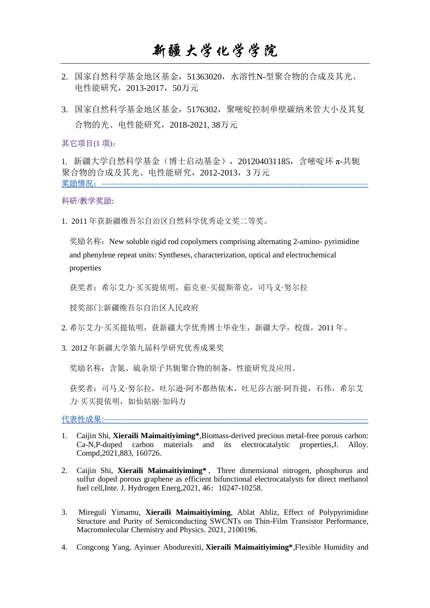## 新疆大学化学学院

- 2. 国家自然科学基金地区基金,51363020,水溶性N-型聚合物的合成及其光、 电性能研究, 2013-2017, 50万元
- 3. 国家自然科学基金地区基金,5176302,聚嘧啶控制单壁碳纳米管大小及其复 合物的光、电性能研究,2018-2021, 38万元

其它项目**(1** 项**)**:

1. 新疆大学自然科学基金(博士启动基金),201204031185,含嘧啶环 π-共轭 聚合物的合成及其光、电性能研究,2012-2013,3 万元 奖励情况:**-----------------------------------------------------------------------------------------------------**

## 科研**/**教学奖励**:**

1. 2011 年获新疆维吾尔自治区自然科学优秀论文奖二等奖。

奖励名称: New soluble rigid rod copolymers comprising alternating 2-amino- pyrimidine and phenylene repeat units: Syntheses, characterization, optical and electrochemical properties

获奖者: 希尔艾力·买买提依明, 茹克亚·买提斯蒂克, 司马义·努尔拉

授奖部门:[新疆维吾尔自治区人民政府](https://baike.baidu.com/item/%E6%96%B0%E7%96%86%E7%BB%B4%E5%90%BE%E5%B0%94%E8%87%AA%E6%B2%BB%E5%8C%BA%E4%BA%BA%E6%B0%91%E6%94%BF%E5%BA%9C/6805735)

- 2. 希尔艾力·买买提依明, 获新疆大学优秀博士毕业生, 新疆大学, 校级, 2011 年。
- 3. 2012 年新疆大学第九届科学研究优秀成果奖

奖励名称:含氮、硫杂原[子共轭聚合物的](https://baike.baidu.com/item/%E5%85%B1%E8%BD%AD%E8%81%9A%E5%90%88%E7%89%A9/3700442)制备,性能研究及应用。

获奖者:司马义·努尔拉,吐尔逊·阿不都热依木,吐尼莎古丽 阿吾提,石伟,希尔艾 力 买买提依明, 如仙姑丽 加码力

代表性成果**:----------------------------------------------------------------------------------------------------**

- 1. Caijin Shi, **Xieraili Maimaitiyiming\***,Biomass-derived precious metal-free porous carbon: Ca-N,P-doped carbon materials and its electrocatalytic properties,J. Alloy. Compd,2021,883, 160726.
- 2. Caijin Shi, Xieraili Maimaitiyiming\*, Three dimensional nitrogen, phosphorus and sulfur doped porous graphene as efficient bifunctional electrocatalysts for direct methanol fuel cell, Inte. J. Hydrogen Energ, 2021, 46: 10247-10258.
- 3. Mireguli Yimamu, **Xieraili Maimaitiyiming**, Ablat Abliz, Effect of Polypyrimidine Structure and Purity of Semiconducting SWCNTs on Thin-Film Transistor Performance, Macromolecular Chemistry and Physics. 2021, 2100196.
- 4. Congcong Yang, Ayinuer Abodurexiti, **Xieraili Maimaitiyiming\***,Flexible Humidity and